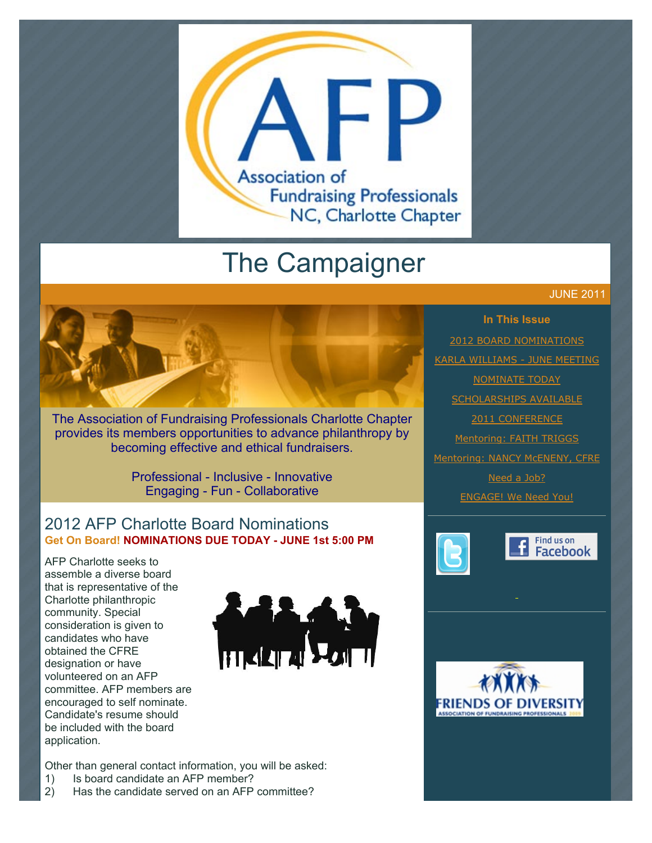

# The Campaigner

# JUNE 2011



The Association of Fundraising Professionals Charlotte Chapter provides its members opportunities to advance philanthropy by becoming effective and ethical fundraisers.

> Professional - Inclusive - Innovative Engaging - Fun - Collaborative

## 2012 AFP Charlotte Board Nominations **Get On Board! NOMINATIONS DUE TODAY - JUNE 1st 5:00 PM**

AFP Charlotte seeks to assemble a diverse board that is representative of the Charlotte philanthropic community. Special consideration is given to candidates who have obtained the CFRE designation or have volunteered on an AFP committee. AFP members are encouraged to self nominate. Candidate's resume should be included with the board application.



Other than general contact information, you will be asked:

- 1) Is board candidate an AFP member?
- 2) Has the candidate served on an AFP committee?

**In This Issue** [2012 BOARD NOMINATIONS](http://archive.constantcontact.com/fs051/1101610725496/archive/1105747304655.html#LETTER.BLOCK6) [KARLA WILLIAMS - JUNE MEETING](http://archive.constantcontact.com/fs051/1101610725496/archive/1105747304655.html#LETTER.BLOCK18) **[NOMINATE TODAY](http://archive.constantcontact.com/fs051/1101610725496/archive/1105747304655.html#LETTER.BLOCK8) [SCHOLARSHIPS AVAILABLE](http://archive.constantcontact.com/fs051/1101610725496/archive/1105747304655.html#LETTER.BLOCK10)** [2011 CONFERENCE](http://archive.constantcontact.com/fs051/1101610725496/archive/1105747304655.html#LETTER.BLOCK12) [Mentoring: FAITH TRIGGS](http://archive.constantcontact.com/fs051/1101610725496/archive/1105747304655.html#LETTER.BLOCK14) [Mentoring: NANCY McENENY, CFRE](http://archive.constantcontact.com/fs051/1101610725496/archive/1105747304655.html#LETTER.BLOCK16) [Need a Job?](http://archive.constantcontact.com/fs051/1101610725496/archive/1105747304655.html#LETTER.BLOCK27) [ENGAGE! We Need You!](http://archive.constantcontact.com/fs051/1101610725496/archive/1105747304655.html#LETTER.BLOCK29)





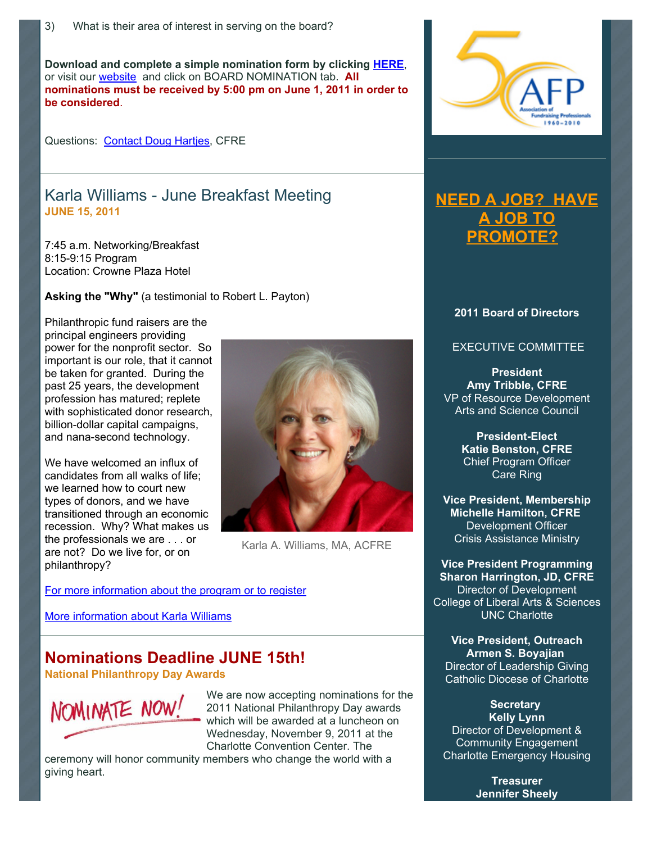**Download and complete a simple nomination form by clicking [HERE](http://www.afp-charlotte.org/customers/102012921065393/filemanager/2011_AFP_Charlotte_Board_Application.pdf)**, or visit our [website](http://www.afp-charlotte.org/) and click on BOARD NOMINATION tab. **All nominations must be received by 5:00 pm on June 1, 2011 in order to be considered**.

Questions: [Contact Doug Hartjes,](mailto:dhartjes@ncwish.org) CFRE

### Karla Williams - June Breakfast Meeting **JUNE 15, 2011**

7:45 a.m. Networking/Breakfast 8:15-9:15 Program Location: Crowne Plaza Hotel

**Asking the "Why"** (a testimonial to Robert L. Payton)

Philanthropic fund raisers are the principal engineers providing power for the nonprofit sector. So important is our role, that it cannot be taken for granted. During the past 25 years, the development profession has matured; replete with sophisticated donor research, billion-dollar capital campaigns, and nana-second technology.

We have welcomed an influx of candidates from all walks of life; we learned how to court new types of donors, and we have transitioned through an economic recession. Why? What makes us the professionals we are . . . or are not? Do we live for, or on philanthropy?



Karla A. Williams, MA, ACFRE

[For more information about the program or to register](http://www.afp-charlotte.org/rsvp_details.html?id=3012)

[More information about Karla Williams](http://www.afp-charlotte.org/customers/102012921065393/filemanager/KarlaWilliams.pdf)

# **Nominations Deadline JUNE 15th!**

**National Philanthropy Day Awards**



We are now accepting nominations for the 2011 National Philanthropy Day awards which will be awarded at a luncheon on Wednesday, November 9, 2011 at the Charlotte Convention Center. The

ceremony will honor community members who change the world with a giving heart.



# **[NEED A JOB? HAVE](http://www.afp-charlotte.org/executivereferrals.html) A JOB TO PROMOTE?**

#### **2011 Board of Directors**

#### EXECUTIVE COMMITTEE

**President Amy Tribble, CFRE** VP of Resource Development Arts and Science Council

> **President-Elect Katie Benston, CFRE** Chief Program Officer Care Ring

**Vice President, Membership Michelle Hamilton, CFRE** Development Officer Crisis Assistance Ministry

**Vice President Programming Sharon Harrington, JD, CFRE** Director of Development College of Liberal Arts & Sciences UNC Charlotte

**Vice President, Outreach Armen S. Boyajian** Director of Leadership Giving Catholic Diocese of Charlotte

**Secretary Kelly Lynn** Director of Development & Community Engagement Charlotte Emergency Housing

> **Treasurer Jennifer Sheely**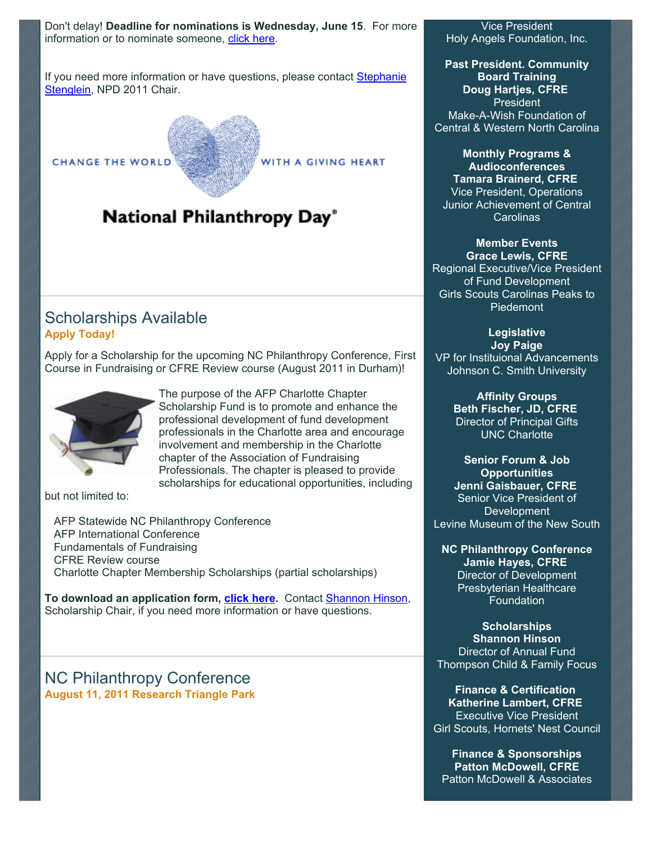Don't delay! **Deadline for nominations is Wednesday, June 15**. For more information or to nominate someone, [click here.](http://www.afp-charlotte.org/nationalphilanthropyday.html)

[If you need more information or have questions, please contact Stephanie](mailto:StephanieS@charlottesymphony.org) Stenglein, NPD 2011 Chair.

**CHANGE THE WORLD** 

WITH A GIVING HEART

# National Philanthropy Day®

#### Scholarships Available **Apply Today!**

Apply for a Scholarship for the upcoming NC Philanthropy Conference, First Course in Fundraising or CFRE Review course (August 2011 in Durham)!



The purpose of the AFP Charlotte Chapter Scholarship Fund is to promote and enhance the professional development of fund development professionals in the Charlotte area and encourage involvement and membership in the Charlotte chapter of the Association of Fundraising Professionals. The chapter is pleased to provide scholarships for educational opportunities, including

but not limited to:

 AFP Statewide NC Philanthropy Conference AFP International Conference Fundamentals of Fundraising CFRE Review course Charlotte Chapter Membership Scholarships (partial scholarships)

**To download an application form, [click here.](http://www.afp-charlotte.org/scholarships.html)** Contact [Shannon Hinson,](mailto:shinson@thompsoncff.org) Scholarship Chair, if you need more information or have questions.

#### NC Philanthropy Conference **August 11, 2011 Research Triangle Park**

Vice President Holy Angels Foundation, Inc.

**Past President. Community Board Training Doug Hartjes, CFRE** President Make-A-Wish Foundation of Central & Western North Carolina

**Monthly Programs & Audioconferences Tamara Brainerd, CFRE** Vice President, Operations Junior Achievement of Central Carolinas

### **Member Events**

**Grace Lewis, CFRE** Regional Executive/Vice President of Fund Development Girls Scouts Carolinas Peaks to Piedemont

#### **Legislative Joy Paige**

VP for Instituional Advancements Johnson C. Smith University

> **Affinity Groups Beth Fischer, JD, CFRE** Director of Principal Gifts UNC Charlotte

**Senior Forum & Job Opportunities Jenni Gaisbauer, CFRE** Senior Vice President of **Development** Levine Museum of the New South

**NC Philanthropy Conference Jamie Hayes, CFRE** Director of Development Presbyterian Healthcare Foundation

**Scholarships Shannon Hinson** Director of Annual Fund Thompson Child & Family Focus

**Finance & Certification Katherine Lambert, CFRE** Executive Vice President Girl Scouts, Hornets' Nest Council

**Finance & Sponsorships Patton McDowell, CFRE** Patton McDowell & Associates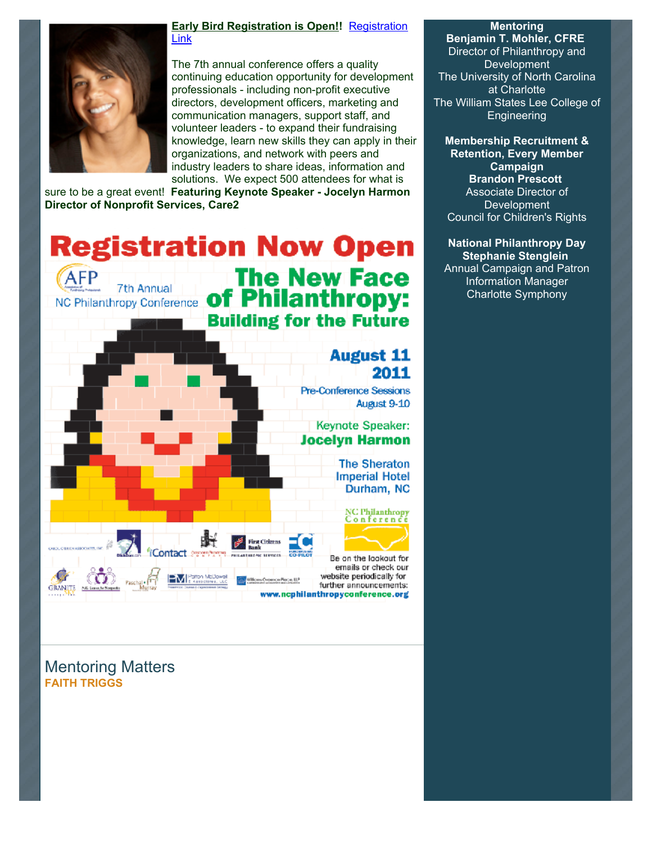

#### **[Early Bird Registration is Open!!](http://www.ncphilanthropyconference.org/registration.html) Registration** Link

The 7th annual conference offers a quality continuing education opportunity for development professionals - including non-profit executive directors, development officers, marketing and communication managers, support staff, and volunteer leaders - to expand their fundraising knowledge, learn new skills they can apply in their organizations, and network with peers and industry leaders to share ideas, information and solutions. We expect 500 attendees for what is

sure to be a great event! **Featuring Keynote Speaker - Jocelyn Harmon Director of Nonprofit Services, Care2**

**Registration Now Open The New Face** AFP 7th Annual of Philanthropy: NC Philanthropy Conference **Building for the Future August 11** 2011 Pre-Conference Sessions August 9-10 Keynote Speaker: **Jocelyn Harmon The Sheraton Imperial Hotel** Durham, NC NC Philanthropy<br>Conference Ш'n **Pira Citizens** Be on the lookout for emails or check our **EV** Patton McDowel website periodically for mon Place, U.P. Pasch further announcements: **GRANITE SEE** vw.ncphilanthropyconference.org

**Mentoring**

**Benjamin T. Mohler, CFRE** Director of Philanthropy and **Development** The University of North Carolina at Charlotte The William States Lee College of **Engineering** 

**Membership Recruitment & Retention, Every Member Campaign Brandon Prescott** Associate Director of **Development** Council for Children's Rights

**National Philanthropy Day Stephanie Stenglein** Annual Campaign and Patron Information Manager Charlotte Symphony

Mentoring Matters **FAITH TRIGGS**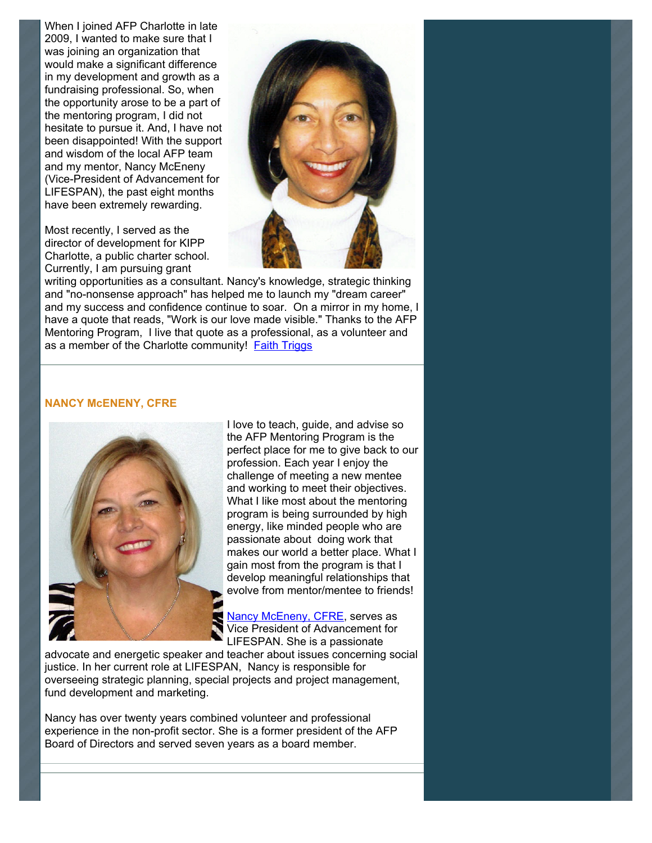When I joined AFP Charlotte in late 2009, I wanted to make sure that I was joining an organization that would make a significant difference in my development and growth as a fundraising professional. So, when the opportunity arose to be a part of the mentoring program, I did not hesitate to pursue it. And, I have not been disappointed! With the support and wisdom of the local AFP team and my mentor, Nancy McEneny (Vice-President of Advancement for LIFESPAN), the past eight months have been extremely rewarding.

Most recently, I served as the director of development for KIPP Charlotte, a public charter school. Currently, I am pursuing grant



writing opportunities as a consultant. Nancy's knowledge, strategic thinking and "no-nonsense approach" has helped me to launch my "dream career" and my success and confidence continue to soar. On a mirror in my home, I have a quote that reads, "Work is our love made visible." Thanks to the AFP Mentoring Program, I live that quote as a professional, as a volunteer and as a member of the Charlotte community! [Faith Triggs](mailto:frtenterprises@aol.com)

#### **NANCY McENENY, CFRE**



I love to teach, guide, and advise so the AFP Mentoring Program is the perfect place for me to give back to our profession. Each year I enjoy the challenge of meeting a new mentee and working to meet their objectives. What I like most about the mentoring program is being surrounded by high energy, like minded people who are passionate about doing work that makes our world a better place. What I gain most from the program is that I develop meaningful relationships that evolve from mentor/mentee to friends!

[Nancy McEneny, CFRE,](mailto:nmceneny@lifespanservices.org) serves as Vice President of Advancement for LIFESPAN. She is a passionate

advocate and energetic speaker and teacher about issues concerning social justice. In her current role at LIFESPAN, Nancy is responsible for overseeing strategic planning, special projects and project management, fund development and marketing.

Nancy has over twenty years combined volunteer and professional experience in the non-profit sector. She is a former president of the AFP Board of Directors and served seven years as a board member.